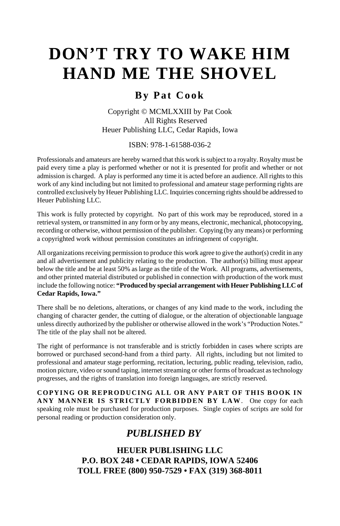# **DON'T TRY TO WAKE HIM HAND ME THE SHOVEL**

## **By Pat Cook**

Copyright © MCMLXXIII by Pat Cook All Rights Reserved Heuer Publishing LLC, Cedar Rapids, Iowa

ISBN: 978-1-61588-036-2

Professionals and amateurs are hereby warned that this work is subject to a royalty. Royalty must be paid every time a play is performed whether or not it is presented for profit and whether or not admission is charged. A play is performed any time it is acted before an audience. All rights to this work of any kind including but not limited to professional and amateur stage performing rights are controlled exclusively by Heuer Publishing LLC. Inquiries concerning rights should be addressed to Heuer Publishing LLC.

This work is fully protected by copyright. No part of this work may be reproduced, stored in a retrieval system, or transmitted in any form or by any means, electronic, mechanical, photocopying, recording or otherwise, without permission of the publisher. Copying (by any means) or performing a copyrighted work without permission constitutes an infringement of copyright.

All organizations receiving permission to produce this work agree to give the author(s) credit in any and all advertisement and publicity relating to the production. The author(s) billing must appear below the title and be at least 50% as large as the title of the Work. All programs, advertisements, and other printed material distributed or published in connection with production of the work must include the following notice: **"Produced by special arrangement with Heuer Publishing LLC of Cedar Rapids, Iowa."**

There shall be no deletions, alterations, or changes of any kind made to the work, including the changing of character gender, the cutting of dialogue, or the alteration of objectionable language unless directly authorized by the publisher or otherwise allowed in the work's "Production Notes." The title of the play shall not be altered.

The right of performance is not transferable and is strictly forbidden in cases where scripts are borrowed or purchased second-hand from a third party. All rights, including but not limited to professional and amateur stage performing, recitation, lecturing, public reading, television, radio, motion picture, video or sound taping, internet streaming or other forms of broadcast as technology progresses, and the rights of translation into foreign languages, are strictly reserved.

**COPYING OR REPRODUCING ALL OR ANY PART OF THIS BOOK IN ANY MANNER IS STRICTLY FORBIDDEN BY LAW**. One copy for each speaking role must be purchased for production purposes. Single copies of scripts are sold for personal reading or production consideration only.

## *PUBLISHED BY*

**HEUER PUBLISHING LLC P.O. BOX 248 • CEDAR RAPIDS, IOWA 52406 TOLL FREE (800) 950-7529 • FAX (319) 368-8011**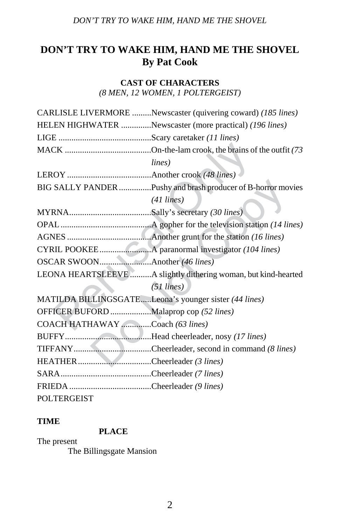## **DON'T TRY TO WAKE HIM, HAND ME THE SHOVEL By Pat Cook**

#### **CAST OF CHARACTERS**

*(8 MEN, 12 WOMEN, 1 POLTERGEIST)*

|                                        | CARLISLE LIVERMORE Newscaster (quivering coward) (185 lines)   |
|----------------------------------------|----------------------------------------------------------------|
|                                        | HELEN HIGHWATER Newscaster (more practical) (196 lines)        |
|                                        |                                                                |
|                                        |                                                                |
|                                        | lines)                                                         |
|                                        |                                                                |
|                                        | BIG SALLY PANDER Pushy and brash producer of B-horror movies   |
|                                        | $(41$ lines)                                                   |
|                                        |                                                                |
|                                        |                                                                |
|                                        |                                                                |
|                                        |                                                                |
|                                        |                                                                |
|                                        | LEONA HEARTSLEEVE A slightly dithering woman, but kind-hearted |
|                                        | $(51$ lines)                                                   |
|                                        | MATILDA BILLINGSGATELeona's younger sister (44 lines)          |
| OFFICER BUFORD Malaprop cop (52 lines) |                                                                |
| COACH HATHAWAY Coach (63 lines)        |                                                                |
|                                        |                                                                |
|                                        |                                                                |
| HEATHER Cheerleader (3 lines)          |                                                                |
|                                        |                                                                |
|                                        |                                                                |
| <b>POLTERGEIST</b>                     |                                                                |

#### **TIME**

## **PLACE**

The present The Billingsgate Mansion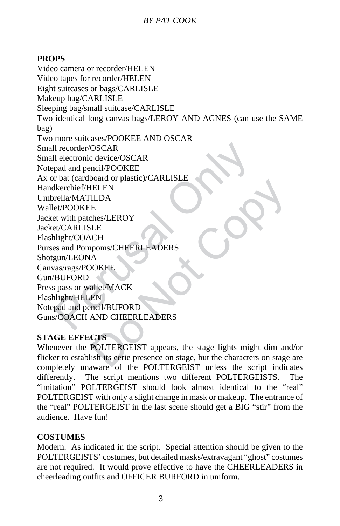#### **PROPS**

ll recorder/OSCAR<br>
ll electronic device/OSCAR<br>
pad and pencil/POOKEE<br>
r bat (cardboard or plastic)/CARLISLE<br>
lkerchief/HELEN<br>
rella/MATILDA<br>
et/POOKEE<br>
et with patches/LEROY<br>
et/CARLISLE<br>
relight/COACH<br>
es and Pompoms/CHEE BLEEN<br>
ILDA<br>
ILDA<br>
E<br>
CH<br>
DOKEE<br>
A<br>
AOKEE<br>
A<br>
AOKEE<br>
A<br>
AOKEE<br>
A<br>
AOKEE<br>
A<br>
AOKEE<br>
EN<br>
MOKEE<br>
A<br>
NOKEE<br>
A<br>
NOCHERLEADERS<br>
CTS<br>
POLTERGEIST appears, the stage lights might dim and<br>
ish its eerie presence on stage, but the c Video camera or recorder/HELEN Video tapes for recorder/HELEN Eight suitcases or bags/CARLISLE Makeup bag/CARLISLE Sleeping bag/small suitcase/CARLISLE Two identical long canvas bags/LEROY AND AGNES (can use the SAME bag) Two more suitcases/POOKEE AND OSCAR Small recorder/OSCAR Small electronic device/OSCAR Notepad and pencil/POOKEE Ax or bat (cardboard or plastic)/CARLISLE Handkerchief/HELEN Umbrella/MATILDA Wallet/POOKEE Jacket with patches/LEROY Jacket/CARLISLE Flashlight/COACH Purses and Pompoms/CHEERLEADERS Shotgun/LEONA Canvas/rags/POOKEE Gun/BUFORD Press pass or wallet/MACK Flashlight/HELEN Notepad and pencil/BUFORD Guns/COACH AND CHEERLEADERS

#### **STAGE EFFECTS**

Whenever the POLTERGEIST appears, the stage lights might dim and/or flicker to establish its eerie presence on stage, but the characters on stage are completely unaware of the POLTERGEIST unless the script indicates differently. The script mentions two different POLTERGEISTS. The "imitation" POLTERGEIST should look almost identical to the "real" POLTERGEIST with only a slight change in mask or makeup. The entrance of the "real" POLTERGEIST in the last scene should get a BIG "stir" from the audience. Have fun!

#### **COSTUMES**

Modern. As indicated in the script. Special attention should be given to the POLTERGEISTS' costumes, but detailed masks/extravagant "ghost" costumes are not required. It would prove effective to have the CHEERLEADERS in cheerleading outfits and OFFICER BURFORD in uniform.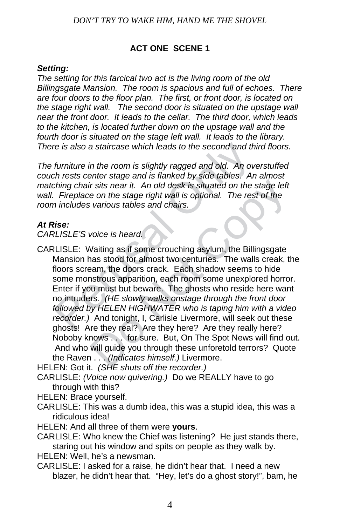#### **ACT ONE SCENE 1**

#### *Setting:*

*The setting for this farcical two act is the living room of the old Billingsgate Mansion. The room is spacious and full of echoes. There are four doors to the floor plan. The first, or front door, is located on the stage right wall. The second door is situated on the upstage wall near the front door. It leads to the cellar. The third door, which leads to the kitchen, is located further down on the upstage wall and the fourth door is situated on the stage left wall. It leads to the library. There is also a staircase which leads to the second and third floors.* 

*The furniture in the room is slightly ragged and old. An overstuffed couch rests center stage and is flanked by side tables. An almost matching chair sits near it. An old desk is situated on the stage left*  wall. Fireplace on the stage right wall is optional. The rest of the *room includes various tables and chairs.* 

#### *At Rise:*

*CARLISLE'S voice is heard.* 

re is also a staircase which leads to the second and th<br>furniture in the room is slightly ragged and old. An ov<br>th rests center stage and is flanked by side tables. An<br>ching chair sits near it. An old desk is situated on t ir sits near it. An old desk is situated on the stage left<br>
e on the stage right wall is optional. The rest of the<br>
various tables and chairs.<br>
voice is heard.<br>
Vaiting as if some crouching asylum, the Billingsgate<br>
ans st CARLISLE: Waiting as if some crouching asylum, the Billingsgate Mansion has stood for almost two centuries. The walls creak, the floors scream, the doors crack. Each shadow seems to hide some monstrous apparition, each room some unexplored horror. Enter if you must but beware. The ghosts who reside here want no intruders. *(HE slowly walks onstage through the front door followed by HELEN HIGHWATER who is taping him with a video recorder.)* And tonight, I, Carlisle Livermore, will seek out these ghosts! Are they real? Are they here? Are they really here? Noboby knows . . . for sure. But, On The Spot News will find out. And who will guide you through these unforetold terrors? Quote the Raven . . . *(Indicates himself.)* Livermore.

HELEN: Got it. *(SHE shuts off the recorder.)*

CARLISLE: *(Voice now quivering.)* Do we REALLY have to go through with this?

HELEN: Brace yourself.

CARLISLE: This was a dumb idea, this was a stupid idea, this was a ridiculous idea!

HELEN: And all three of them were **yours**.

CARLISLE: Who knew the Chief was listening? He just stands there, staring out his window and spits on people as they walk by.

HELEN: Well, he's a newsman.

CARLISLE: I asked for a raise, he didn't hear that. I need a new blazer, he didn't hear that. "Hey, let's do a ghost story!", bam, he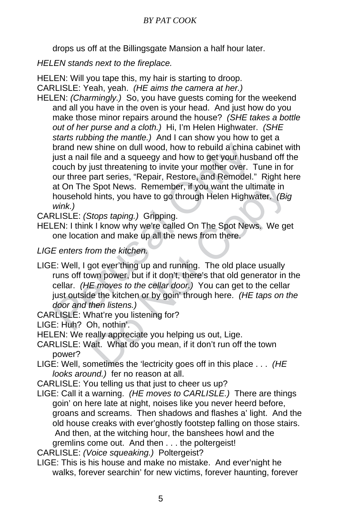drops us off at the Billingsgate Mansion a half hour later.

*HELEN stands next to the fireplace.* 

HELEN: Will you tape this, my hair is starting to droop. CARLISLE: Yeah, yeah. *(HE aims the camera at her.)* 

brand new shine on dull wood, how to rebuild a china i<br>just a nail file and a squeegy and how to get your hust<br>couch by just threatening to invite your mother over. T<br>our three part series, "Repair, Restore, and Remodel."<br> HELEN: *(Charmingly.)* So, you have guests coming for the weekend and all you have in the oven is your head. And just how do you make those minor repairs around the house? *(SHE takes a bottle out of her purse and a cloth.)* Hi, I'm Helen Highwater. *(SHE starts rubbing the mantle.)* And I can show you how to get a brand new shine on dull wood, how to rebuild a china cabinet with just a nail file and a squeegy and how to get your husband off the couch by just threatening to invite your mother over. Tune in for our three part series, "Repair, Restore, and Remodel." Right here at On The Spot News. Remember, if you want the ultimate in household hints, you have to go through Helen Highwater. *(Big wink.)* 

CARLISLE: *(Stops taping.)* Gripping.

HELEN: I think I know why we're called On The Spot News. We get one location and make up all the news from there.

*LIGE enters from the kitchen.* 

- Shot News. Remember, if you want the ultimate in<br>Shot News. Remember, if you want the ultimate in<br>I hints, you have to go through Helen Highwater. (Big<br>Stops taping.) Gripping.<br>K I know why we're called On The Spot News. W LIGE: Well, I got ever'thing up and running. The old place usually runs off town power, but if it don't, there's that old generator in the cellar. *(HE moves to the cellar door.)* You can get to the cellar just outside the kitchen or by goin' through here. *(HE taps on the door and then listens.)*
- CARLISLE: What're you listening for?

LIGE: Huh? Oh, nothin'.

HELEN: We really appreciate you helping us out, Lige.

- CARLISLE: Wait. What do you mean, if it don't run off the town power?
- LIGE: Well, sometimes the 'lectricity goes off in this place . . . *(HE looks around.)* fer no reason at all.
- CARLISLE: You telling us that just to cheer us up?
- LIGE: Call it a warning. *(HE moves to CARLISLE.)* There are things goin' on here late at night, noises like you never heerd before, groans and screams. Then shadows and flashes a' light. And the old house creaks with ever'ghostly footstep falling on those stairs. And then, at the witching hour, the banshees howl and the gremlins come out. And then . . . the poltergeist!

CARLISLE: *(Voice squeaking.)* Poltergeist?

LIGE: This is his house and make no mistake. And ever'night he walks, forever searchin' for new victims, forever haunting, forever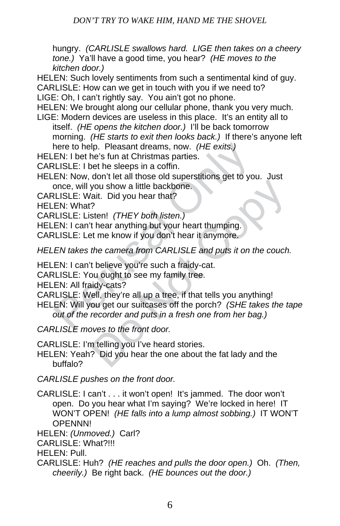hungry. *(CARLISLE swallows hard. LIGE then takes on a cheery tone.)* Ya'll have a good time, you hear? *(HE moves to the kitchen door.)* 

HELEN: Such lovely sentiments from such a sentimental kind of guy.

CARLISLE: How can we get in touch with you if we need to?

LIGE: Oh, I can't rightly say. You ain't got no phone.

HELEN: We brought along our cellular phone, thank you very much. LIGE: Modern devices are useless in this place. It's an entity all to

itself. *(HE opens the kitchen door.)* I'll be back tomorrow morning. *(HE starts to exit then looks back.)* If there's anyone left here to help. Pleasant dreams, now. *(HE exits.)* 

HELEN: I bet he's fun at Christmas parties.

CARLISLE: I bet he sleeps in a coffin.

HELEN: Now, don't let all those old superstitions get to you. Just once, will you show a little backbone.

CARLISLE: Wait. Did you hear that?

HELEN: What?

CARLISLE: Listen! *(THEY both listen.)* 

HELEN: I can't hear anything but your heart thumping.

CARLISLE: Let me know if you don't hear it anymore.

*HELEN takes the camera from CARLISLE and puts it on the couch.* 

HELEN: I can't believe you're such a fraidy-cat.

CARLISLE: You ought to see my family tree.

HELEN: All fraidy-cats?

CARLISLE: Well, they're all up a tree, if that tells you anything!

here to help. Pleasant dreams, now. (HE exits.)<br>
EN: I bet he's fun at Christmas parties.<br>
LLISLE: I bet he sleeps in a coffin.<br>
EN: Now, don't let all those old superstitions get to you<br>
once, will you show a little backb you show a little backbone.<br>
You show a little backbone.<br>
You show a little backbone.<br>
The Marken Architect State Architect State Architect The know if you don't hear it anymore.<br> *the camera from CARLISLE and puts it on t* HELEN: Will you get our suitcases off the porch? *(SHE takes the tape out of the recorder and puts in a fresh one from her bag.)* 

*CARLISLE moves to the front door.* 

CARLISLE: I'm telling you I've heard stories.

HELEN: Yeah? Did you hear the one about the fat lady and the buffalo?

*CARLISLE pushes on the front door.* 

CARLISLE: I can't . . . it won't open! It's jammed. The door won't open. Do you hear what I'm saying? We're locked in here! IT WON'T OPEN! *(HE falls into a lump almost sobbing.)* IT WON'T OPENNN!

HELEN: *(Unmoved.)* Carl?

CARLISLE: What?!!!

HELEN: Pull.

CARLISLE: Huh? *(HE reaches and pulls the door open.)* Oh. *(Then, cheerily.)* Be right back. *(HE bounces out the door.)*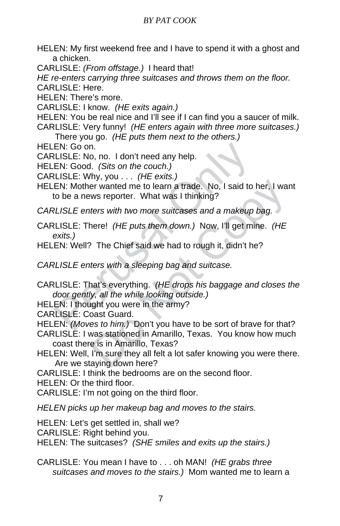HELEN: My first weekend free and I have to spend it with a ghost and a chicken.

CARLISLE: *(From offstage.)* I heard that!

*HE re-enters carrying three suitcases and throws them on the floor.* CARLISLE: Here.

HELEN: There's more.

CARLISLE: I know. *(HE exits again.)* 

HELEN: You be real nice and I'll see if I can find you a saucer of milk. CARLISLE: Very funny! *(HE enters again with three more suitcases.)*

There you go. *(HE puts them next to the others.)*

HELEN: Go on.

CARLISLE: No, no. I don't need any help.

HELEN: Good. *(Sits on the couch.)* 

CARLISLE: Why, you . . . *(HE exits.)* 

EN: Go on.<br>
LISLE: No, no. I don't need any help.<br>
EN: Good. (Sits on the couch.)<br>
LISLE: Why, you . . . (HE exits.)<br>
EN: Mother wanted me to learn a trade. No, I said to lo<br>
be a news reporter. What was I thinking?<br>
RLISL For wanted me to learn a trade. No, I said to her, I wantus reporter. What was I thinking?<br>
ters with two more suitcases and a makeup bag.<br>
here! (HE puts them down.) Now, I'll get mine. (HE<br>
The Chief said we had to rough HELEN: Mother wanted me to learn a trade. No, I said to her, I want to be a news reporter. What was I thinking?

*CARLISLE enters with two more suitcases and a makeup bag.* 

- CARLISLE: There! *(HE puts them down.)* Now, I'll get mine. *(HE exits.)*
- HELEN: Well? The Chief said we had to rough it, didn't he?

*CARLISLE enters with a sleeping bag and suitcase.* 

CARLISLE: That's everything. *(HE drops his baggage and closes the door gently, all the while looking outside.)* 

HELEN: I thought you were in the army?

CARLISLE: Coast Guard.

HELEN: *(Moves to him.)* Don't you have to be sort of brave for that?

CARLISLE: I was stationed in Amarillo, Texas. You know how much coast there is in Amarillo, Texas?

HELEN: Well, I'm sure they all felt a lot safer knowing you were there. Are we staying down here?

CARLISLE: I think the bedrooms are on the second floor.

HELEN: Or the third floor.

CARLISLE: I'm not going on the third floor.

*HELEN picks up her makeup bag and moves to the stairs.* 

HELEN: Let's get settled in, shall we?

CARLISLE: Right behind you.

HELEN: The suitcases? *(SHE smiles and exits up the stairs.)*

CARLISLE: You mean I have to . . . oh MAN! *(HE grabs three suitcases and moves to the stairs.)* Mom wanted me to learn a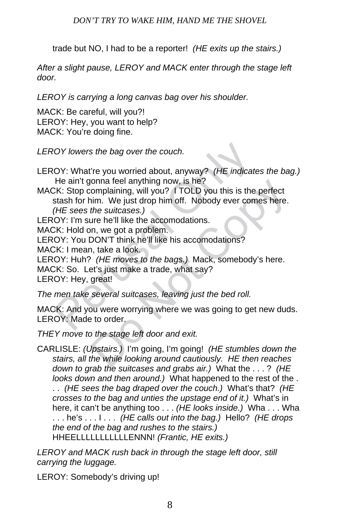trade but NO, I had to be a reporter! *(HE exits up the stairs.)* 

*After a slight pause, LEROY and MACK enter through the stage left door.* 

*LEROY is carrying a long canvas bag over his shoulder.* 

MACK: Be careful, will you?! LEROY: Hey, you want to help? MACK: You're doing fine.

*LEROY lowers the bag over the couch.* 

LEROY: What're you worried about, anyway? *(HE indicates the bag.)* He ain't gonna feel anything now, is he?

Note the bag over the couch.<br>
DY: What're you worried about, anyway? (HE indicate<br>
He ain't gonna feel anything now, is he?<br>
CK: Stop complaining, will you? I TOLD you this is the<br>
stash for him. We just drop him off. Nobo ion a feel anything now, is he?<br>
complaining, will you? I TOLD you this is the perfect<br>
tim. We just drop him off. Nobody ever comes here.<br> *the suitcases.)*<br>
ure he'll like the accomodations.<br>
DON'T think he'll like his a MACK: Stop complaining, will you? I TOLD you this is the perfect stash for him. We just drop him off. Nobody ever comes here. *(HE sees the suitcases.)* 

LEROY: I'm sure he'll like the accomodations.

MACK: Hold on, we got a problem.

LEROY: You DON'T think he'll like his accomodations?

MACK: I mean, take a look.

LEROY: Huh? *(HE moves to the bags.)* Mack, somebody's here.

MACK: So. Let's just make a trade, what say?

LEROY: Hey, great!

*The men take several suitcases, leaving just the bed roll.* 

MACK: And you were worrying where we was going to get new duds. LEROY: Made to order.

*THEY move to the stage left door and exit.* 

CARLISLE: *(Upstairs.)* I'm going, I'm going! *(HE stumbles down the stairs, all the while looking around cautiously. HE then reaches down to grab the suitcases and grabs air.)* What the . . . ? *(HE looks down and then around.)* What happened to the rest of the . . . *(HE sees the bag draped over the couch.)* What's that? *(HE crosses to the bag and unties the upstage end of it.)* What's in here, it can't be anything too . . . *(HE looks inside.)* Wha . . . Wha . . . he's . . . I . . . *(HE calls out into the bag.)* Hello? *(HE drops the end of the bag and rushes to the stairs.)*  HHEELLLLLLLLLLLENNN! *(Frantic, HE exits.)* 

*LEROY and MACK rush back in through the stage left door, still carrying the luggage.* 

LEROY: Somebody's driving up!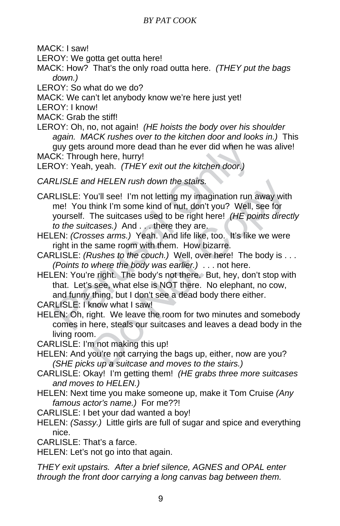MACK: I saw!

LEROY: We gotta get outta here!

MACK: How? That's the only road outta here. *(THEY put the bags down.)* 

LEROY: So what do we do?

MACK: We can't let anybody know we're here just yet!

LEROY: I know!

MACK: Grab the stiff!

LEROY: Oh, no, not again! *(HE hoists the body over his shoulder again. MACK rushes over to the kitchen door and looks in.)* This guy gets around more dead than he ever did when he was alive! MACK: Through here, hurry!

LEROY: Yeah, yeah. *(THEY exit out the kitchen door.)* 

*CARLISLE and HELEN rush down the stairs.* 

guy gets around more dead than he ever did when he<br>CK: Through here, hurry!<br>OY: Yeah, yeah. (*THEY exit out the kitchen door.)*<br>RLISLE and HELEN rush down the stairs.<br>RLISLE: You'll see! I'm not letting my imagination run d HELEN rush down the stairs.<br>
bu'll see! I'm not letting my imagination run away with<br>
think I'm some kind of nut, don't you? Well, see for<br>
The suitcases used to be right here! (HE points direc<br>
cases.) And . . . there t CARLISLE: You'll see! I'm not letting my imagination run away with me! You think I'm some kind of nut, don't you? Well, see for yourself. The suitcases used to be right here! *(HE points directly to the suitcases.)* And . . . there they are.

HELEN: *(Crosses arms.)* Yeah. And life like, too. It's like we were right in the same room with them. How bizarre.

CARLISLE: *(Rushes to the couch.)* Well, over here! The body is . . . *(Points to where the body was earlier.)* . . . not here.

HELEN: You're right. The body's not there. But, hey, don't stop with that. Let's see, what else is NOT there. No elephant, no cow, and funny thing, but I don't see a dead body there either.

CARLISLE: I know what I saw!

HELEN: Oh, right. We leave the room for two minutes and somebody comes in here, steals our suitcases and leaves a dead body in the living room.

CARLISLE: I'm not making this up!

HELEN: And you're not carrying the bags up, either, now are you? *(SHE picks up a suitcase and moves to the stairs.)* 

CARLISLE: Okay! I'm getting them! *(HE grabs three more suitcases and moves to HELEN.)* 

HELEN: Next time you make someone up, make it Tom Cruise *(Any famous actor's name.)* For me??!

CARLISLE: I bet your dad wanted a boy!

HELEN: *(Sassy.)* Little girls are full of sugar and spice and everything nice.

CARLISLE: That's a farce.

HELEN: Let's not go into that again.

*THEY exit upstairs. After a brief silence, AGNES and OPAL enter through the front door carrying a long canvas bag between them.*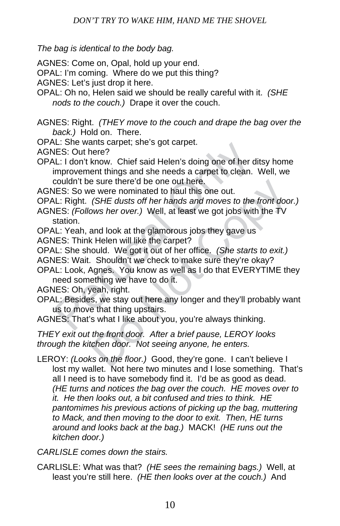*The bag is identical to the body bag.* 

AGNES: Come on, Opal, hold up your end.

OPAL: I'm coming. Where do we put this thing?

AGNES: Let's just drop it here.

OPAL: Oh no, Helen said we should be really careful with it. *(SHE nods to the couch.)* Drape it over the couch.

AGNES: Right. *(THEY move to the couch and drape the bag over the back.)* Hold on. There.

OPAL: She wants carpet; she's got carpet.

AGNES: Out here?

LE. She wants cappet, she's got cappet.<br>
LES: Out here?<br>
LE. I don't know. Chief said Helen's doing one of her d<br>
LE. I don't know. Chief said Helen's doing one of her d<br>
improvement things and she needs a carpet to clean. OPAL: I don't know. Chief said Helen's doing one of her ditsy home improvement things and she needs a carpet to clean. Well, we couldn't be sure there'd be one out here.

AGNES: So we were nominated to haul this one out.

OPAL: Right. *(SHE dusts off her hands and moves to the front door.)* 

AGNES: *(Follows her over.)* Well, at least we got jobs with the TV station.

- OPAL: Yeah, and look at the glamorous jobs they gave us
- AGNES: Think Helen will like the carpet?

OPAL: She should. We got it out of her office. *(She starts to exit.)* 

AGNES: Wait. Shouldn't we check to make sure they're okay?

OPAL: Look, Agnes. You know as well as I do that EVERYTIME they need something we have to do it.

AGNES: Oh, yeah, right.

- e sure there'd be one out here.<br>
ce were nominated to haul this one out.<br>
(*SHE dusts off her hands and moves to the front doo*<br>
ows her over.) Well, at least we got jobs with the TV<br>
and look at the glamorous jobs they ga OPAL: Besides, we stay out here any longer and they'll probably want us to move that thing upstairs.
- AGNES: That's what I like about you, you're always thinking.

*THEY exit out the front door. After a brief pause, LEROY looks through the kitchen door. Not seeing anyone, he enters.* 

LEROY: *(Looks on the floor.)* Good, they're gone. I can't believe I lost my wallet. Not here two minutes and I lose something. That's all I need is to have somebody find it. I'd be as good as dead. *(HE turns and notices the bag over the couch. HE moves over to it. He then looks out, a bit confused and tries to think. HE pantomimes his previous actions of picking up the bag, muttering to Mack, and then moving to the door to exit. Then, HE turns around and looks back at the bag.)* MACK! *(HE runs out the kitchen door.)* 

*CARLISLE comes down the stairs.* 

CARLISLE: What was that? *(HE sees the remaining bags.)* Well, at least you're still here. *(HE then looks over at the couch.)* And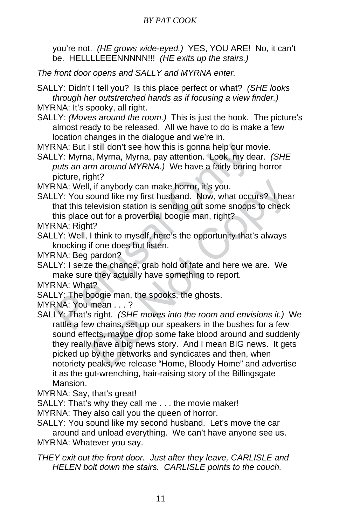you're not. *(HE grows wide-eyed.)* YES, YOU ARE! No, it can't be. HELLLLEEENNNNN!!! *(HE exits up the stairs.)* 

*The front door opens and SALLY and MYRNA enter.* 

SALLY: Didn't I tell you? Is this place perfect or what? *(SHE looks through her outstretched hands as if focusing a view finder.)* 

MYRNA: It's spooky, all right.

SALLY: *(Moves around the room.)* This is just the hook. The picture's almost ready to be released. All we have to do is make a few location changes in the dialogue and we're in.

MYRNA: But I still don't see how this is gonna help our movie.

RNA: But I still don't see how this is gonna help our motellary: Myrna, Myrna, Myrna, pay attention. Look, my deputs an arm around MYRNA.) We have a fairly boring picture, right?<br>RNA: Well, if anybody can make horror, it's SALLY: Myrna, Myrna, Myrna, pay attention. Look, my dear. *(SHE puts an arm around MYRNA.)* We have a fairly boring horror picture, right?

MYRNA: Well, if anybody can make horror, it's you.

SALLY: You sound like my first husband. Now, what occurs? I hear that this television station is sending out some snoops to check this place out for a proverbial boogie man, right?

MYRNA: Right?

- SALLY: Well, I think to myself, here's the opportunity that's always knocking if one does but listen.
- MYRNA: Beg pardon?
- SALLY: I seize the chance, grab hold of fate and here we are. We make sure they actually have something to report.
- MYRNA: What?
- SALLY: The boogie man, the spooks, the ghosts.
- MYRNA: You mean . . . ?
- Friest, if anybody can make horror, it's you.<br>
Summar like my first husband. Now, what occurs? I healevision station is sending out some snoops to check<br>
out for a proverbial boogie man, right?<br>
12<br>
11 think to myself, her SALLY: That's right. *(SHE moves into the room and envisions it.)* We rattle a few chains, set up our speakers in the bushes for a few sound effects, maybe drop some fake blood around and suddenly they really have a big news story. And I mean BIG news. It gets picked up by the networks and syndicates and then, when notoriety peaks, we release "Home, Bloody Home" and advertise it as the gut-wrenching, hair-raising story of the Billingsgate Mansion.

MYRNA: Say, that's great!

SALLY: That's why they call me . . . the movie maker!

- MYRNA: They also call you the queen of horror.
- SALLY: You sound like my second husband. Let's move the car around and unload everything. We can't have anyone see us. MYRNA: Whatever you say.
- *THEY exit out the front door. Just after they leave, CARLISLE and HELEN bolt down the stairs. CARLISLE points to the couch.*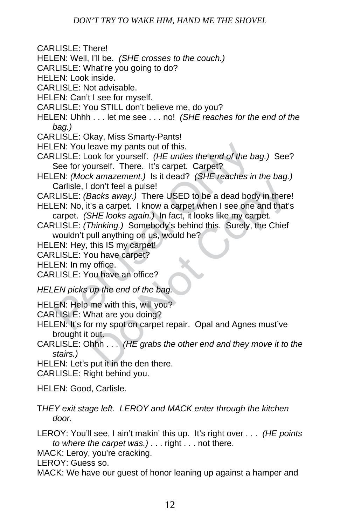CARLISLE: There!

- HELEN: Well, I'll be. *(SHE crosses to the couch.)*
- CARLISLE: What're you going to do?
- HELEN: Look inside.
- CARLISLE: Not advisable.
- HELEN: Can't I see for myself.
- CARLISLE: You STILL don't believe me, do you?
- HELEN: Uhhh . . . let me see . . . no! *(SHE reaches for the end of the bag.)*
- CARLISLE: Okay, Miss Smarty-Pants!
- HELEN: You leave my pants out of this.
- CARLISLE: Look for yourself. *(HE unties the end of the bag.)* See? See for yourself. There. It's carpet. Carpet?
- HELEN: *(Mock amazement.)* Is it dead? *(SHE reaches in the bag.)* Carlisle, I don't feel a pulse!
- CARLISLE: *(Backs away.)* There USED to be a dead body in there!
- HELEN: No, it's a carpet. I know a carpet when I see one and that's carpet. *(SHE looks again.)* In fact, it looks like my carpet.
- EN: You leave my pants out of this.<br>
LISLE: Look for yourself. (*HE unties the end of the bsee for yourself.* There. It's carpet. Carpet?<br>
EN: (*Mock amazement.)* Is it dead? (*SHE reaches in*<br>
Carlisle, I don't feel a pul don't feel a pulse!<br>
Backs away.) There USED to be a dead body in there<br>
Is a carpet. I know a carpet when I see one and that's<br>
SHE looks again.) In fact, it looks like my carpet.<br>
Thinking.) Somebody's behind this. Surel CARLISLE: *(Thinking.)* Somebody's behind this. Surely, the Chief wouldn't pull anything on us, would he?

HELEN: Hey, this IS my carpet!

CARLISLE: You have carpet?

HELEN: In my office.

CARLISLE: You have an office?

*HELEN picks up the end of the bag.* 

HELEN: Help me with this, will you?

CARLISLE: What are you doing?

- HELEN: It's for my spot on carpet repair. Opal and Agnes must've brought it out.
- CARLISLE: Ohhh . . . *(HE grabs the other end and they move it to the stairs.)*

HELEN: Let's put it in the den there.

CARLISLE: Right behind you.

HELEN: Good, Carlisle.

T*HEY exit stage left. LEROY and MACK enter through the kitchen door.* 

LEROY: You'll see, I ain't makin' this up. It's right over . . . *(HE points to where the carpet was.)* . . . right . . . not there.

MACK: Leroy, you're cracking.

LEROY: Guess so.

MACK: We have our guest of honor leaning up against a hamper and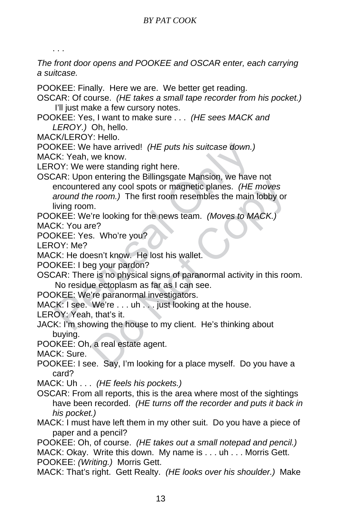. . .

*The front door opens and POOKEE and OSCAR enter, each carrying a suitcase.*

POOKEE: Finally. Here we are. We better get reading.

OSCAR: Of course. *(HE takes a small tape recorder from his pocket.)* I'll just make a few cursory notes.

POOKEE: Yes, I want to make sure . . . *(HE sees MACK and LEROY.)* Oh, hello.

MACK/LEROY: Hello.

POOKEE: We have arrived! *(HE puts his suitcase down.)* 

MACK: Yeah, we know.

LEROY: We were standing right here.

DKEE: We have arrived! (HE puts his suitcase down.)<br>CK: Yeah, we know.<br>OY: We were standing right here.<br>CAR: Upon entering the Billingsgate Mansion, we have<br>encountered any cool spots or magnetic planes. (HE around the roo For an any collspots or magnetic planes. (HE moves<br>e room.) The first room resembles the main lobby or<br>n.<br>"re looking for the news team. (Moves to MACK.)<br>ne?<br>S. Who're you?<br>esn't know. He lost his wallet.<br>Eg your pardon?<br>e OSCAR: Upon entering the Billingsgate Mansion, we have not encountered any cool spots or magnetic planes. *(HE moves around the room.)* The first room resembles the main lobby or living room.

POOKEE: We're looking for the news team. *(Moves to MACK.)* 

MACK: You are?

POOKEE: Yes. Who're you?

LEROY: Me?

MACK: He doesn't know. He lost his wallet.

POOKEE: I beg your pardon?

OSCAR: There is no physical signs of paranormal activity in this room. No residue ectoplasm as far as I can see.

POOKEE: We're paranormal investigators.

MACK: I see. We're . . . uh . . . just looking at the house.

LEROY: Yeah, that's it.

JACK: I'm showing the house to my client. He's thinking about buying.

POOKEE: Oh, a real estate agent.

MACK: Sure.

POOKEE: I see. Say, I'm looking for a place myself. Do you have a card?

MACK: Uh . . . *(HE feels his pockets.)* 

- OSCAR: From all reports, this is the area where most of the sightings have been recorded. *(HE turns off the recorder and puts it back in his pocket.)*
- MACK: I must have left them in my other suit. Do you have a piece of paper and a pencil?
- POOKEE: Oh, of course. *(HE takes out a small notepad and pencil.)*  MACK: Okay. Write this down. My name is . . . uh . . . Morris Gett. POOKEE: *(Writing.)* Morris Gett.

MACK: That's right. Gett Realty. *(HE looks over his shoulder.)* Make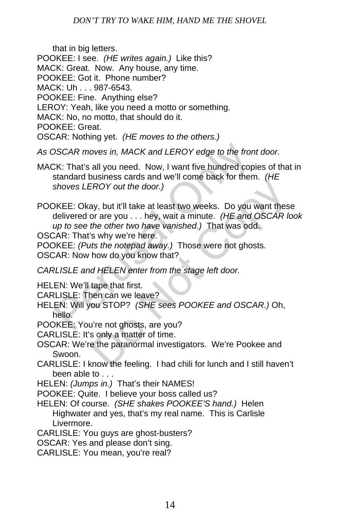that in big letters.

- POOKEE: I see. *(HE writes again.)* Like this?
- MACK: Great. Now. Any house, any time.
- POOKEE: Got it. Phone number?
- MACK: Uh . . . 987-6543.
- POOKEE: Fine. Anything else?
- LEROY: Yeah, like you need a motto or something.
- MACK: No, no motto, that should do it.
- POOKEE: Great.
- OSCAR: Nothing yet. *(HE moves to the others.)*
- *As OSCAR moves in, MACK and LEROY edge to the front door.*
- MACK: That's all you need. Now, I want five hundred copies of that in standard business cards and we'll come back for them. *(HE shoves LEROY out the door.)*
- DSCAR moves in, MACK and LEROY edge to the fron<br>CK: That's all you need. Now, I want five hundred copistandard business cards and we'll come back for them<br>shoves LEROY out the door.)<br>DKEE: Okay, but it'll take at least two EROY out the door.)<br>
ay, but it'll take at least two weeks. Do you want thes<br>
or are you . . . hey, wait a minute. (HE and OSCAR k<br>
the other two have vanished.) That was odd.<br>
S why we're here.<br>
ts the notepad away.) Thos POOKEE: Okay, but it'll take at least two weeks. Do you want these delivered or are you . . . hey, wait a minute. *(HE and OSCAR look up to see the other two have vanished.)* That was odd.
- OSCAR: That's why we're here.
- POOKEE: *(Puts the notepad away.)* Those were not ghosts.
- OSCAR: Now how do you know that?
- *CARLISLE and HELEN enter from the stage left door.*
- HELEN: We'll tape that first.
- CARLISLE: Then can we leave?
- HELEN: Will you STOP? *(SHE sees POOKEE and OSCAR.)* Oh, hello.
- POOKEE: You're not ghosts, are you?
- CARLISLE: It's only a matter of time.
- OSCAR: We're the paranormal investigators. We're Pookee and Swoon.
- CARLISLE: I know the feeling. I had chili for lunch and I still haven't been able to . . .
- HELEN: *(Jumps in.)* That's their NAMES!
- POOKEE: Quite. I believe your boss called us?
- HELEN: Of course. *(SHE shakes POOKEE'S hand.)* Helen Highwater and yes, that's my real name. This is Carlisle Livermore.
- CARLISLE: You guys are ghost-busters?
- OSCAR: Yes and please don't sing.
- CARLISLE: You mean, you're real?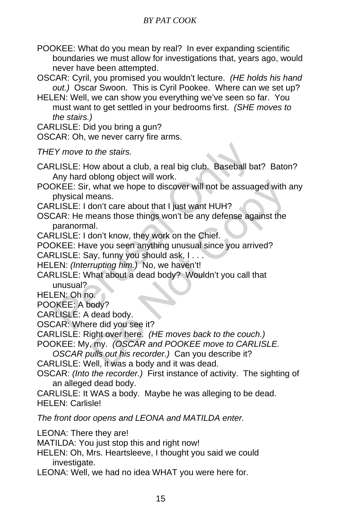POOKEE: What do you mean by real? In ever expanding scientific boundaries we must allow for investigations that, years ago, would never have been attempted.

OSCAR: Cyril, you promised you wouldn't lecture. *(HE holds his hand out.)* Oscar Swoon. This is Cyril Pookee. Where can we set up?

HELEN: Well, we can show you everything we've seen so far. You must want to get settled in your bedrooms first. *(SHE moves to the stairs.)* 

CARLISLE: Did you bring a gun?

OSCAR: Oh, we never carry fire arms.

*THEY move to the stairs.* 

CARLISLE: How about a club, a real big club. Baseball bat? Baton? Any hard oblong object will work.

- EX move to the stairs.<br>
ELISLE: How about a club, a real big club. Baseball ba<br>
Any hard oblong object will work.<br>
DKEE: Sir, what we hope to discover will not be assuage<br>
physical means.<br>
LLISLE: I don't care about that I what we hope to discover will not be assuaged with a<br>heans.<br>Jon't care about that I just want HUH?<br>heans those things won't be any defense against the<br>al.<br>Jon't know, they work on the Chief.<br>we you seen anything unusual si POOKEE: Sir, what we hope to discover will not be assuaged with any physical means.
- CARLISLE: I don't care about that I just want HUH?
- OSCAR: He means those things won't be any defense against the paranormal.

CARLISLE: I don't know, they work on the Chief.

POOKEE: Have you seen anything unusual since you arrived?

CARLISLE: Say, funny you should ask, I . . .

HELEN: *(Interrupting him.)* No, we haven't!

CARLISLE: What about a dead body? Wouldn't you call that unusual?

HELEN: Oh no.

POOKEE: A body?

CARLISLE: A dead body.

OSCAR: Where did you see it?

CARLISLE: Right over here. *(HE moves back to the couch.)* 

POOKEE: My, my. *(OSCAR and POOKEE move to CARLISLE.* 

*OSCAR pulls out his recorder.)* Can you describe it?

CARLISLE: Well, it was a body and it was dead.

- OSCAR: *(Into the recorder.)* First instance of activity. The sighting of an alleged dead body.
- CARLISLE: It WAS a body. Maybe he was alleging to be dead. HELEN: Carlisle!

*The front door opens and LEONA and MATILDA enter.* 

LEONA: There they are!

MATILDA: You just stop this and right now!

- HELEN: Oh, Mrs. Heartsleeve, I thought you said we could investigate.
- LEONA: Well, we had no idea WHAT you were here for.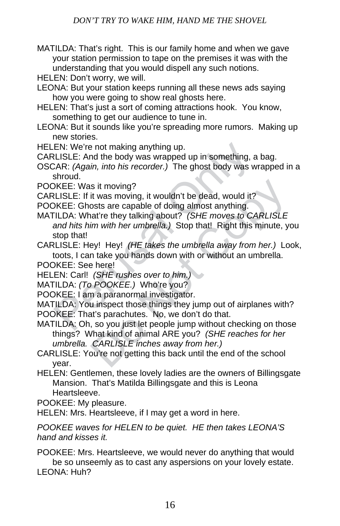- MATILDA: That's right. This is our family home and when we gave your station permission to tape on the premises it was with the understanding that you would dispell any such notions.
- HELEN: Don't worry, we will.
- LEONA: But your station keeps running all these news ads saying how you were going to show real ghosts here.
- HELEN: That's just a sort of coming attractions hook. You know, something to get our audience to tune in.
- LEONA: But it sounds like you're spreading more rumors. Making up new stories.
- HELEN: We're not making anything up.
- CARLISLE: And the body was wrapped up in something, a bag.
- OSCAR: *(Again, into his recorder.)* The ghost body was wrapped in a shroud.
- POOKEE: Was it moving?
- CARLISLE: If it was moving, it wouldn't be dead, would it?
- POOKEE: Ghosts are capable of doing almost anything.
- EN: We're not making anything up.<br>
LISLE: And the body was wrapped up in something, a<br>
LISLE: And the body was wrapped up in something, a<br>
SAR: (Again, into his recorder.) The ghost body was w<br>
shroud.<br>
DKEE: Was it moving MATILDA: What're they talking about? *(SHE moves to CARLISLE and hits him with her umbrella.)* Stop that! Right this minute, you stop that!
- CARLISLE: Hey! Hey! *(HE takes the umbrella away from her.)* Look, toots, I can take you hands down with or without an umbrella.
- POOKEE: See here!
- HELEN: Carl! *(SHE rushes over to him.)*
- MATILDA: *(To POOKEE.)* Who're you?
- POOKEE: I am a paranormal investigator.
- MATILDA: You inspect those things they jump out of airplanes with? POOKEE: That's parachutes. No, we don't do that.
- is it moving?<br>it was moving, it wouldn't be dead, would it?<br>osts are capable of doing almost anything.<br>nat're they talking about? (SHE moves to CARLISLE<br>im with her umbrella.) Stop that! Right this minute, ye<br>ey! Hey! (HE MATILDA: Oh, so you just let people jump without checking on those things? What kind of animal ARE you? *(SHE reaches for her umbrella. CARLISLE inches away from her.)*
- CARLISLE: You're not getting this back until the end of the school year.
- HELEN: Gentlemen, these lovely ladies are the owners of Billingsgate Mansion. That's Matilda Billingsgate and this is Leona Heartsleeve.
- POOKEE: My pleasure.
- HELEN: Mrs. Heartsleeve, if I may get a word in here.

*POOKEE waves for HELEN to be quiet. HE then takes LEONA'S hand and kisses it.*

POOKEE: Mrs. Heartsleeve, we would never do anything that would be so unseemly as to cast any aspersions on your lovely estate. LEONA: Huh?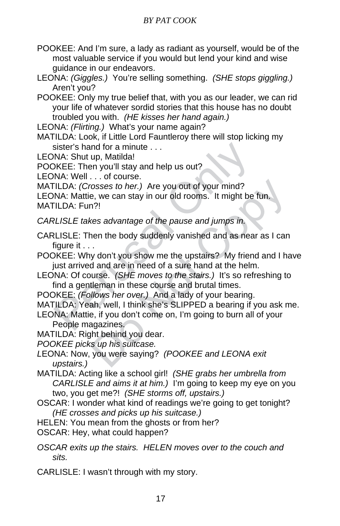- POOKEE: And I'm sure, a lady as radiant as yourself, would be of the most valuable service if you would but lend your kind and wise guidance in our endeavors.
- LEONA: *(Giggles.)* You're selling something. *(SHE stops giggling.)* Aren't you?
- POOKEE: Only my true belief that, with you as our leader, we can rid your life of whatever sordid stories that this house has no doubt troubled you with. *(HE kisses her hand again.)*

LEONA: *(Flirting.)* What's your name again?

MATILDA: Look, if Little Lord Fauntleroy there will stop licking my sister's hand for a minute . . .

LEONA: Shut up, Matilda!

POOKEE: Then you'll stay and help us out?

LEONA: Well . . . of course.

MATILDA: *(Crosses to her.)* Are you out of your mind?

LEONA: Mattie, we can stay in our old rooms. It might be fun. MATILDA: Fun?!

*CARLISLE takes advantage of the pause and jumps in.* 

CARLISLE: Then the body suddenly vanished and as near as I can figure it . . .

POOKEE: Why don't you show me the upstairs? My friend and I have just arrived and are in need of a sure hand at the helm.

LEONA: Of course. *(SHE moves to the stairs.)* It's so refreshing to find a gentleman in these course and brutal times.

POOKEE: *(Follows her over.)* And a lady of your bearing.

MATILDA: Yeah, well, I think she's SLIPPED a bearing if you ask me.

sister's hand for a minute . . .<br>
NA: Shut up, Matilda!<br>
NKEE: Then you'll stay and help us out?<br>
NA: Well . . . of course.<br>
TLDA: (Crosses to her.) Are you out of your mind?<br>
NA: Mattie, we can stay in our old rooms. It m cosses to her.) Are you out of your mind?<br>
e, we can stay in our old rooms. It might be fun.<br>
n?!<br>
kes advantage of the pause and jumps in.<br>
hen the body suddenly vanished and as near as I can<br>
y don't you show me the upst LEONA: Mattie, if you don't come on, I'm going to burn all of your People magazines.

MATILDA: Right behind you dear.

*POOKEE picks up his suitcase.* 

*L*EONA: Now, you were saying? *(POOKEE and LEONA exit upstairs.)* 

MATILDA: Acting like a school girl! *(SHE grabs her umbrella from CARLISLE and aims it at him.)* I'm going to keep my eye on you two, you get me?! *(SHE storms off, upstairs.)* 

OSCAR: I wonder what kind of readings we're going to get tonight? *(HE crosses and picks up his suitcase.)* 

HELEN: You mean from the ghosts or from her?

OSCAR: Hey, what could happen?

*OSCAR exits up the stairs. HELEN moves over to the couch and sits.*

CARLISLE: I wasn't through with my story.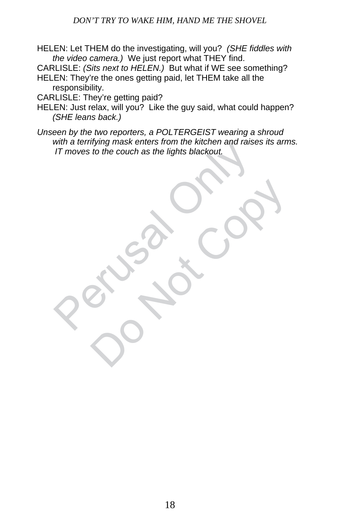#### *DON'T TRY TO WAKE HIM, HAND ME THE SHOVEL*

HELEN: Let THEM do the investigating, will you? *(SHE fiddles with the video camera.)* We just report what THEY find.

CARLISLE: *(Sits next to HELEN.)* But what if WE see something?

HELEN: They're the ones getting paid, let THEM take all the responsibility.

CARLISLE: They're getting paid?

HELEN: Just relax, will you? Like the guy said, what could happen? *(SHE leans back.)* 

While definitying mask einers nom the kitchen and raise *Unseen by the two reporters, a POLTERGEIST wearing a shroud with a terrifying mask enters from the kitchen and raises its arms. IT moves to the couch as the lights blackout.* 

Do Not Col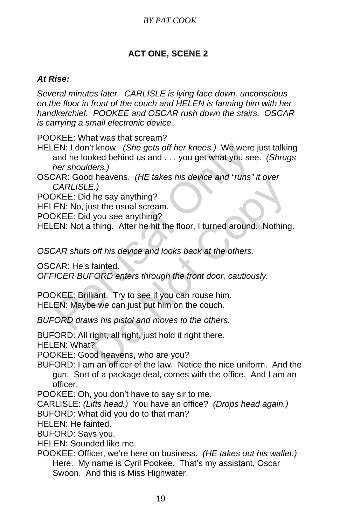## **ACT ONE, SCENE 2**

#### *At Rise:*

*Several minutes later. CARLISLE is lying face down, unconscious on the floor in front of the couch and HELEN is fanning him with her handkerchief. POOKEE and OSCAR rush down the stairs. OSCAR is carrying a small electronic device.*

POOKEE: What was that scream?

EN: I don't know. (She gets off her knees.) We were<br>and he looked behind us and ... you get what you see<br>her shoulders.)<br>CAR: Good heavens. (HE takes his device and "runs"<br>CARLISLE.)<br>VKEE: Did ne say anything?<br>EN: No, just HELEN: I don't know. *(She gets off her knees.)* We were just talking and he looked behind us and . . . you get what you see. *(Shrugs her shoulders.)* 

OSCAR: Good heavens. *(HE takes his device and "runs" it over CARLISLE.)* 

POOKEE: Did he say anything?

HELEN: No, just the usual scream.

POOKEE: Did you see anything?

HELEN: Not a thing. After he hit the floor, I turned around. Nothing.

*OSCAR shuts off his device and looks back at the others.* 

OSCAR: He's fainted.

*OFFICER BUFORD enters through the front door, cautiously.* 

The say anything?<br>
E.)<br>
In the say anything?<br>
Is the usual scream.<br>
you see anything?<br>
thing. After he hit the floor, I turned around. Nothing<br>
off his device and looks back at the others.<br>
fainted.<br>
FORD enters through th POOKEE: Brilliant. Try to see if you can rouse him. HELEN: Maybe we can just put him on the couch.

*BUFORD draws his pistol and moves to the others.* 

BUFORD: All right, all right, just hold it right there.

HELEN: What?

POOKEE: Good heavens, who are you?

BUFORD: I am an officer of the law. Notice the nice uniform. And the gun. Sort of a package deal, comes with the office. And I am an officer.

POOKEE: Oh, you don't have to say sir to me.

CARLISLE: *(Lifts head.)* You have an office? *(Drops head again.)* 

BUFORD: What did you do to that man?

HELEN: He fainted.

BUFORD: Says you.

HELEN: Sounded like me.

POOKEE: Officer, we're here on business. *(HE takes out his wallet.)* Here. My name is Cyril Pookee. That's my assistant, Oscar Swoon. And this is Miss Highwater.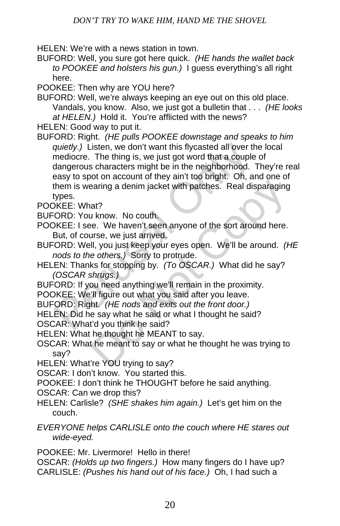HELEN: We're with a news station in town.

- BUFORD: Well, you sure got here quick. *(HE hands the wallet back to POOKEE and holsters his gun.)* I guess everything's all right here.
- POOKEE: Then why are YOU here?
- BUFORD: Well, we're always keeping an eye out on this old place. Vandals, you know. Also, we just got a bulletin that . . . *(HE looks at HELEN.)* Hold it. You're afflicted with the news?
- HELEN: Good way to put it.
- quietly.) Listen, we don't want this flycasted all over the mediocre. The thing is, we just got word that a couple dangerous characters might be in the neighborhood. Teasy to spot on account of they ain't too bright. Oh, a earing a denim jacket with patches. Real disparaging<br>at?<br>at?<br>at of the new matches with patches. Real disparaging<br>at?<br>at of the new matches with patches. Real disparaging<br>the e. We haven't seen anyone of the sort around he BUFORD: Right. *(HE pulls POOKEE downstage and speaks to him quietly.)* Listen, we don't want this flycasted all over the local mediocre. The thing is, we just got word that a couple of dangerous characters might be in the neighborhood. They're real easy to spot on account of they ain't too bright. Oh, and one of them is wearing a denim jacket with patches. Real disparaging types.
- POOKEE: What?
- BUFORD: You know. No couth.
- POOKEE: I see. We haven't seen anyone of the sort around here. But, of course, we just arrived.
- BUFORD: Well, you just keep your eyes open. We'll be around. *(HE nods to the others.)* Sorry to protrude.
- HELEN: Thanks for stopping by. *(To OSCAR.)* What did he say? *(OSCAR shrugs.)*
- BUFORD: If you need anything we'll remain in the proximity.
- POOKEE: We'll figure out what you said after you leave.
- BUFORD: Right. *(HE nods and exits out the front door.)*
- HELEN: Did he say what he said or what I thought he said?
- OSCAR: What'd you think he said?
- HELEN: What he thought he MEANT to say.
- OSCAR: What he meant to say or what he thought he was trying to say?
- HELEN: What're YOU trying to say?
- OSCAR: I don't know. You started this.
- POOKEE: I don't think he THOUGHT before he said anything.
- OSCAR: Can we drop this?
- HELEN: Carlisle? *(SHE shakes him again.)* Let's get him on the couch.
- *EVERYONE helps CARLISLE onto the couch where HE stares out wide-eyed.*

POOKEE: Mr. Livermore! Hello in there!

OSCAR: *(Holds up two fingers.)* How many fingers do I have up? CARLISLE: *(Pushes his hand out of his face.)* Oh, I had such a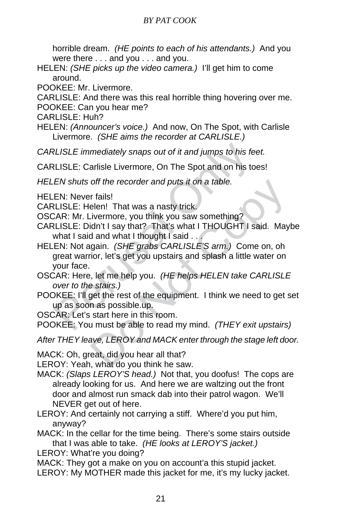horrible dream. *(HE points to each of his attendants.)* And you were there . . . and you . . . and you.

- HELEN: *(SHE picks up the video camera.)* I'll get him to come around.
- POOKEE: Mr. Livermore.
- CARLISLE: And there was this real horrible thing hovering over me.
- POOKEE: Can you hear me?
- CARLISLE: Huh?
- HELEN: *(Announcer's voice.)* And now, On The Spot, with Carlisle Livermore. *(SHE aims the recorder at CARLISLE.)*
- *CARLISLE immediately snaps out of it and jumps to his feet.*
- CARLISLE: Carlisle Livermore, On The Spot and on his toes!
- *HELEN shuts off the recorder and puts it on a table.*
- HELEN: Never fails!
- CARLISLE: Helen! That was a nasty trick.
- OSCAR: Mr. Livermore, you think you saw something?
- CARLISLE: Didn't I say that? That's what I THOUGHT I said. Maybe what I said and what I thought I said . . .
- RLISLE immediately snaps out of it and jumps to his fet RLISLE: Carlisle Livermore, On The Spot and on his to EN shuts off the recorder and puts it on a table.<br>
EN shuts off the recorder and puts it on a table.<br>
EN: Never off the recorder and puts it on a table.<br>
It fails!<br>
Lelen! That was a nasty trick.<br>
Univermore, you think you saw something?<br>
Idn't I say that? That's what I THOUGHT I said. May<br>
Idn't I say that? That's what I THOUGHT I HELEN: Not again. *(SHE grabs CARLISLE'S arm.)* Come on, oh great warrior, let's get you upstairs and splash a little water on your face.
- OSCAR: Here, let me help you. *(HE helps HELEN take CARLISLE over to the stairs.)*
- POOKEE: I'll get the rest of the equipment. I think we need to get set up as soon as possible.up.
- OSCAR: Let's start here in this room.
- POOKEE: You must be able to read my mind. *(THEY exit upstairs)*

*After THEY leave, LEROY and MACK enter through the stage left door.*

- MACK: Oh, great, did you hear all that?
- LEROY: Yeah, what do you think he saw.
- MACK: *(Slaps LEROY'S head.)* Not that, you doofus! The cops are already looking for us. And here we are waltzing out the front door and almost run smack dab into their patrol wagon. We'll NEVER get out of here.
- LEROY: And certainly not carrying a stiff. Where'd you put him, anyway?
- MACK: In the cellar for the time being. There's some stairs outside that I was able to take. *(HE looks at LEROY'S jacket.)*
- LEROY: What're you doing?
- MACK: They got a make on you on account'a this stupid jacket. LEROY: My MOTHER made this jacket for me, it's my lucky jacket.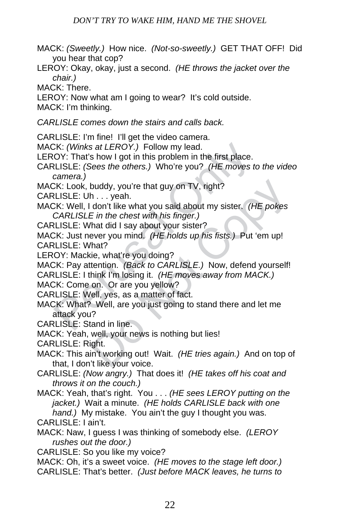- MACK: *(Sweetly.)* How nice. *(Not-so-sweetly.)* GET THAT OFF! Did you hear that cop?
- LEROY: Okay, okay, just a second. *(HE throws the jacket over the chair.)*

MACK: There.

LEROY: Now what am I going to wear? It's cold outside.

MACK: I'm thinking.

*CARLISLE comes down the stairs and calls back.* 

CARLISLE: I'm fine! I'll get the video camera.

MACK: *(Winks at LEROY.)* Follow my lead.

LEROY: That's how I got in this problem in the first place.

- CARLISLE: *(Sees the others.)* Who're you? *(HE moves to the video camera.)*
- MACK: Look, buddy, you're that guy on TV, right?
- CARLISLE: Uh . . . yeah.
- CK: (Winks at LEROY.) Follow my lead.<br>
OY: That's how I got in this problem in the first place.<br>
LLISLE: (Sees the others.) Who're you? (HE moves to<br>
camera.)<br>
CK: Look, buddy, you're that guy on TV, right?<br>
LLISLE: Uh...y buddy, you're that guy on TV, right?<br>
h...yeah.<br>
don't like what you said about my sister. (HE pokes<br>
E in the chest with his finger.)<br>
(hat did I say about your sister?<br>
(hat did I say about your sister?<br>
ever you mind. ( MACK: Well, I don't like what you said about my sister. *(HE pokes CARLISLE in the chest with his finger.)*
- CARLISLE: What did I say about your sister?

MACK: Just never you mind. *(HE holds up his fists.)* Put 'em up! CARLISLE: What?

LEROY: Mackie, what're you doing?

MACK: Pay attention. *(Back to CARLISLE.)* Now, defend yourself! CARLISLE: I think I'm losing it. *(HE moves away from MACK.)* 

MACK: Come on. Or are you yellow?

CARLISLE: Well, yes, as a matter of fact.

- MACK: What? Well, are you just going to stand there and let me attack you?
- CARLISLE: Stand in line.
- MACK: Yeah, well, your news is nothing but lies!
- CARLISLE: Right.
- MACK: This ain't working out! Wait. *(HE tries again.)* And on top of that, I don't like your voice.
- CARLISLE: *(Now angry.)* That does it! *(HE takes off his coat and throws it on the couch.)*
- MACK: Yeah, that's right. You . . . *(HE sees LEROY putting on the jacket.)* Wait a minute. *(HE holds CARLISLE back with one hand.)* My mistake. You ain't the guy I thought you was.
- CARLISLE: I ain't.
- MACK: Naw, I guess I was thinking of somebody else. *(LEROY rushes out the door.)*
- CARLISLE: So you like my voice?
- MACK: Oh, it's a sweet voice. *(HE moves to the stage left door.)*  CARLISLE: That's better. *(Just before MACK leaves, he turns to*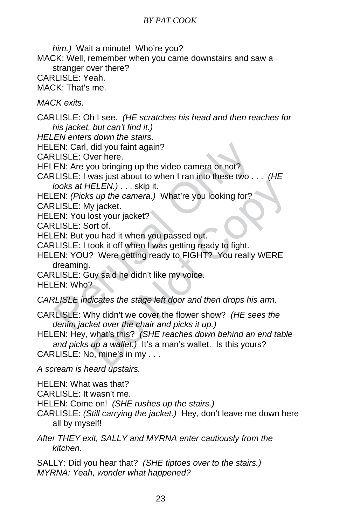EN: Carl, did you faint again?<br>
LISLE: Over here.<br>
EN: Are you bringing up the video camera or not?<br>
LISLE: I was just about to when I ran into these two .<br>
looks at HELEN.) . . . skip it.<br>
EN: (Picks up the camera.) What' HELEN.) ... skip it.<br>
IELEN.) ... skip it.<br>
s up the camera.) What're you looking for?<br>
y jacket.<br>
ost your jacket?<br>
on that it when you passed out.<br>
ook it off when I was getting ready to fight.<br>
? Were getting ready to F *him.)* Wait a minute! Who're you? MACK: Well, remember when you came downstairs and saw a stranger over there? CARLISLE: Yeah. MACK: That's me. *MACK exits.*  CARLISLE: Oh I see. *(HE scratches his head and then reaches for his jacket, but can't find it.) HELEN enters down the stairs.*  HELEN: Carl, did you faint again? CARLISLE: Over here. HELEN: Are you bringing up the video camera or not? CARLISLE: I was just about to when I ran into these two . . . *(HE looks at HELEN.)* . . . skip it. HELEN: *(Picks up the camera.)* What're you looking for? CARLISLE: My jacket. HELEN: You lost your jacket? CARLISLE: Sort of. HELEN: But you had it when you passed out. CARLISLE: I took it off when I was getting ready to fight. HELEN: YOU? Were getting ready to FIGHT? You really WERE dreaming. CARLISLE: Guy said he didn't like my voice. HELEN: Who? *CARLISLE indicates the stage left door and then drops his arm.*  CARLISLE: Why didn't we cover the flower show? *(HE sees the denim jacket over the chair and picks it up.)*  HELEN: Hey, what's this? *(SHE reaches down behind an end table and picks up a wallet.)* It's a man's wallet. Is this yours? CARLISLE: No, mine's in my . . . *A scream is heard upstairs.*  HELEN: What was that? CARLISLE: It wasn't me.

HELEN: Come on! *(SHE rushes up the stairs.)* 

CARLISLE: *(Still carrying the jacket.)* Hey, don't leave me down here all by myself!

*After THEY exit, SALLY and MYRNA enter cautiously from the kitchen.*

SALLY: Did you hear that? *(SHE tiptoes over to the stairs.) MYRNA: Yeah, wonder what happened?*